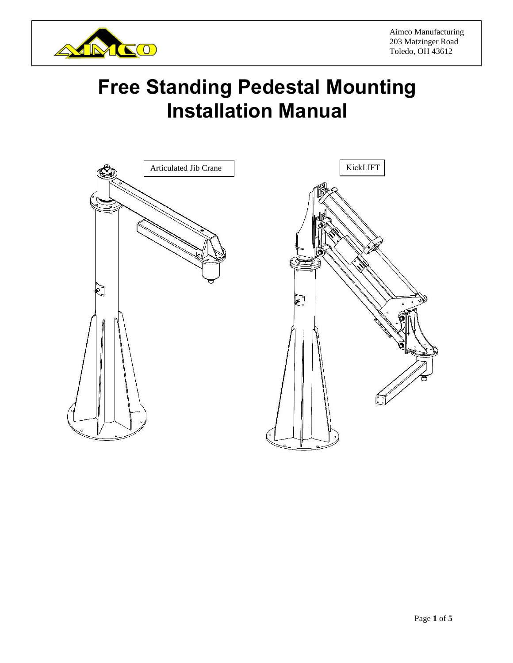

Aimco Manufacturing 203 Matzinger Road Toledo, OH 43612

# **Free Standing Pedestal Mounting Installation Manual**



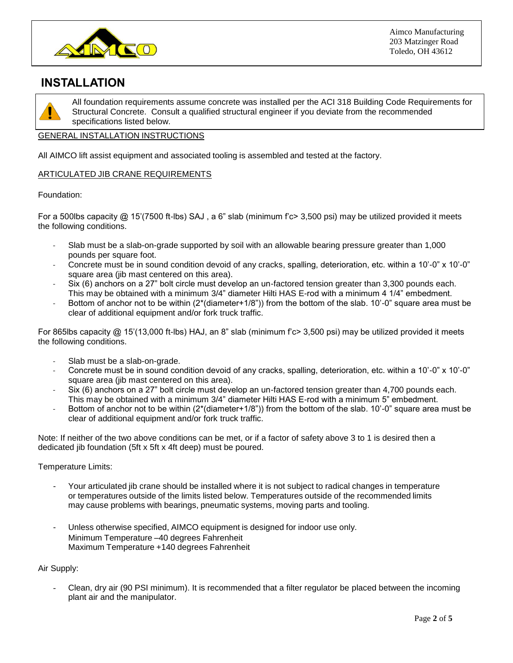

## **INSTALLATION**



All foundation requirements assume concrete was installed per the ACI 318 Building Code Requirements for Structural Concrete. Consult a qualified structural engineer if you deviate from the recommended specifications listed below.

#### GENERAL INSTALLATION INSTRUCTIONS

All AIMCO lift assist equipment and associated tooling is assembled and tested at the factory.

#### ARTICULATED JIB CRANE REQUIREMENTS

#### Foundation:

For a 500lbs capacity @ 15'(7500 ft-lbs) SAJ , a 6" slab (minimum f'c> 3,500 psi) may be utilized provided it meets the following conditions.

- Slab must be a slab-on-grade supported by soil with an allowable bearing pressure greater than 1,000 pounds per square foot.
- Concrete must be in sound condition devoid of any cracks, spalling, deterioration, etc. within a 10'-0" x 10'-0" square area (jib mast centered on this area).
- Six (6) anchors on a 27" bolt circle must develop an un-factored tension greater than 3,300 pounds each. This may be obtained with a minimum 3/4" diameter Hilti HAS E-rod with a minimum 4 1/4" embedment.
- Bottom of anchor not to be within (2<sup>\*</sup>(diameter+1/8")) from the bottom of the slab. 10'-0" square area must be clear of additional equipment and/or fork truck traffic.

For 865lbs capacity @ 15'(13,000 ft-lbs) HAJ, an 8" slab (minimum f'c> 3,500 psi) may be utilized provided it meets the following conditions.

- Slab must be a slab-on-grade.
- Concrete must be in sound condition devoid of any cracks, spalling, deterioration, etc. within a 10'-0" x 10'-0" square area (jib mast centered on this area).
- Six (6) anchors on a 27" bolt circle must develop an un-factored tension greater than 4,700 pounds each. This may be obtained with a minimum 3/4" diameter Hilti HAS E-rod with a minimum 5" embedment.
- Bottom of anchor not to be within  $(2*(diameter+1/8"))$  from the bottom of the slab. 10'-0" square area must be clear of additional equipment and/or fork truck traffic.

Note: If neither of the two above conditions can be met, or if a factor of safety above 3 to 1 is desired then a dedicated jib foundation (5ft x 5ft x 4ft deep) must be poured.

Temperature Limits:

- Your articulated jib crane should be installed where it is not subject to radical changes in temperature or temperatures outside of the limits listed below. Temperatures outside of the recommended limits may cause problems with bearings, pneumatic systems, moving parts and tooling.
- Unless otherwise specified, AIMCO equipment is designed for indoor use only. Minimum Temperature –40 degrees Fahrenheit Maximum Temperature +140 degrees Fahrenheit

Air Supply:

Clean, dry air (90 PSI minimum). It is recommended that a filter regulator be placed between the incoming plant air and the manipulator.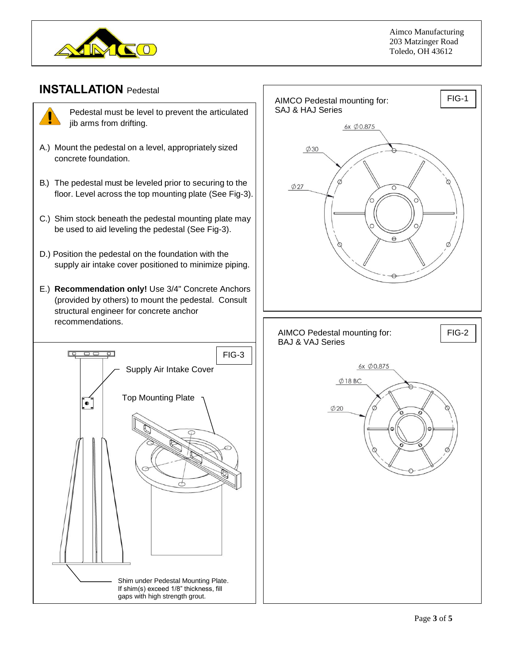

### **INSTALLATION** Pedestal



Pedestal must be level to prevent the articulated jib arms from drifting.

- A.) Mount the pedestal on a level, appropriately sized concrete foundation.
- B.) The pedestal must be leveled prior to securing to the floor. Level across the top mounting plate (See Fig-3).
- C.) Shim stock beneath the pedestal mounting plate may be used to aid leveling the pedestal (See Fig-3).
- D.) Position the pedestal on the foundation with the supply air intake cover positioned to minimize piping.
- E.) **Recommendation only!** Use 3/4" Concrete Anchors (provided by others) to mount the pedestal. Consult structural engineer for concrete anchor recommendations.



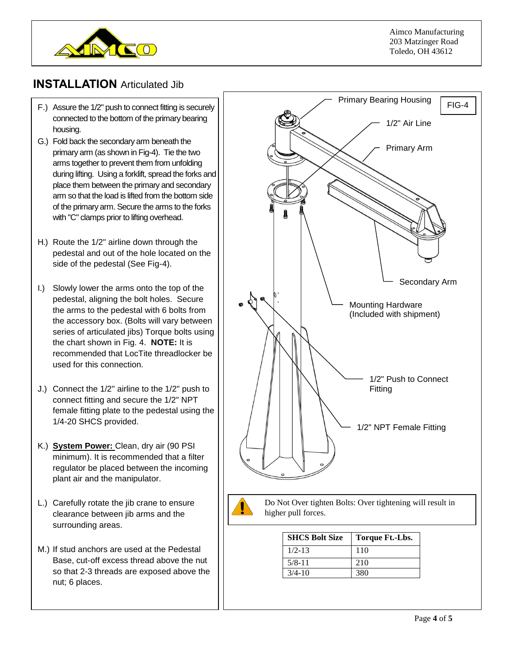

## **INSTALLATION** Articulated Jib

- F.) Assure the 1/2" push to connect fitting is securely connected to the bottom of the primary bearing housing.
- place them between the primary and secondary arm so that the load is lifted from the bottom side G.) Fold back the secondary arm beneath the primary arm (as shown in Fig-4). Tie the two arms together to prevent them from unfolding during lifting. Using a forklift, spread the forks and of the primary arm. Secure the arms to the forks with "C" clamps prior to lifting overhead.
- H.) Route the 1/2" airline down through the pedestal and out of the hole located on the side of the pedestal (See Fig-4).
- I.) Slowly lower the arms onto the top of the pedestal, aligning the bolt holes. Secure the arms to the pedestal with 6 bolts from the accessory box. (Bolts will vary between series of articulated jibs) Torque bolts using the chart shown in Fig. 4. **NOTE:** It is recommended that LocTite threadlocker be used for this connection.
- J.) Connect the 1/2" airline to the 1/2" push to connect fitting and secure the 1/2" NPT female fitting plate to the pedestal using the 1/4-20 SHCS provided.
- K.) **System Power:** Clean, dry air (90 PSI minimum). It is recommended that a filter regulator be placed between the incoming plant air and the manipulator.
- L.) Carefully rotate the jib crane to ensure clearance between jib arms and the surrounding areas.
- M.) If stud anchors are used at the Pedestal Base, cut-off excess thread above the nut so that 2-3 threads are exposed above the nut; 6 places.